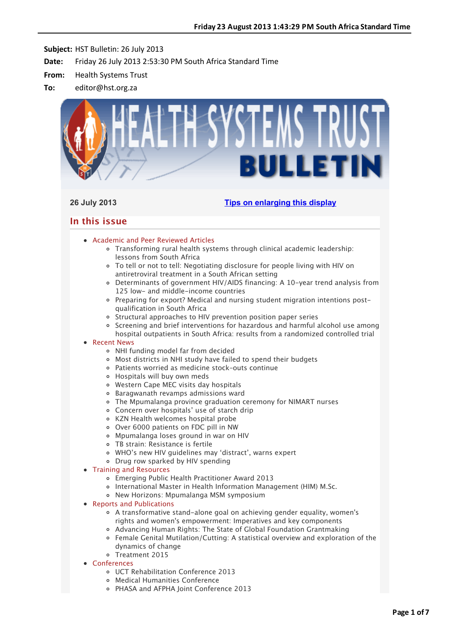

# **26 July 2013 [Tips on enlarging this display](http://bulletin.hst.org.za//lt.php?id=K09TDFVSXAMHSlNRAEUHClxV)**

# **In this issue**

- [Academic and Peer Reviewed Articles](applewebdata://D5BFAF7C-7F31-4E04-92F5-C668D024A664#Academic)
	- [Transforming rural health systems through clinical academic leadership:](applewebdata://D5BFAF7C-7F31-4E04-92F5-C668D024A664#A_0) lessons from South Africa
	- [To tell or not to tell: Negotiating disclosure for people living with HIV on](applewebdata://D5BFAF7C-7F31-4E04-92F5-C668D024A664#A_1) antiretroviral treatment in a South African setting
	- [Determinants of government HIV/AIDS financing: A 10-year trend analysis from](applewebdata://D5BFAF7C-7F31-4E04-92F5-C668D024A664#A_2) 125 low- and middle-income countries
	- Preparing for export? Medical and nursing student migration intentions postqualification in South Africa
	- o [Structural approaches to HIV prevention position paper series](applewebdata://D5BFAF7C-7F31-4E04-92F5-C668D024A664#A_4)
	- o [Screening and brief interventions for hazardous and harmful alcohol use among](applewebdata://D5BFAF7C-7F31-4E04-92F5-C668D024A664#A_5) hospital outpatients in South Africa: results from a randomized controlled trial

# [Recent News](applewebdata://D5BFAF7C-7F31-4E04-92F5-C668D024A664#recent)

- [NHI funding model far from decided](applewebdata://D5BFAF7C-7F31-4E04-92F5-C668D024A664#N_1)
- [Most districts in NHI study have failed to spend their budgets](applewebdata://D5BFAF7C-7F31-4E04-92F5-C668D024A664#N_2)
- [Patients worried as medicine stock–outs continue](applewebdata://D5BFAF7C-7F31-4E04-92F5-C668D024A664#N_3)
- [Hospitals will buy own meds](applewebdata://D5BFAF7C-7F31-4E04-92F5-C668D024A664#N_4)
- [Western Cape MEC visits day hospitals](applewebdata://D5BFAF7C-7F31-4E04-92F5-C668D024A664#N_5)
- [Baragwanath revamps admissions ward](applewebdata://D5BFAF7C-7F31-4E04-92F5-C668D024A664#N_6)
- [The Mpumalanga province graduation ceremony for NIMART nurses](applewebdata://D5BFAF7C-7F31-4E04-92F5-C668D024A664#N_7)
- [Concern over hospitals' use of starch drip](applewebdata://D5BFAF7C-7F31-4E04-92F5-C668D024A664#N_8)
- [KZN Health welcomes hospital probe](applewebdata://D5BFAF7C-7F31-4E04-92F5-C668D024A664#N_9)
- [Over 6000 patients on FDC pill in NW](applewebdata://D5BFAF7C-7F31-4E04-92F5-C668D024A664#N_10)
- [Mpumalanga loses ground in war on HIV](applewebdata://D5BFAF7C-7F31-4E04-92F5-C668D024A664#N_11)
- [TB strain: Resistance is fertile](applewebdata://D5BFAF7C-7F31-4E04-92F5-C668D024A664#N_12)
- [WHO's new HIV guidelines may 'distract', warns expert](applewebdata://D5BFAF7C-7F31-4E04-92F5-C668D024A664#N_13)
- [Drug row sparked by HIV spending](applewebdata://D5BFAF7C-7F31-4E04-92F5-C668D024A664#N_14)
- [Training and Resources](applewebdata://D5BFAF7C-7F31-4E04-92F5-C668D024A664#train)
	- Emerging Public Health Practitioner Award 2013
	- o [International Master in Health Information Management \(HIM\) M.Sc.](applewebdata://D5BFAF7C-7F31-4E04-92F5-C668D024A664#T_2)
	- [New Horizons: Mpumalanga MSM symposium](applewebdata://D5BFAF7C-7F31-4E04-92F5-C668D024A664#T_3)

• [Reports and Publications](applewebdata://D5BFAF7C-7F31-4E04-92F5-C668D024A664#publications)

- [A transformative stand-alone goal on achieving gender equality, women's](applewebdata://D5BFAF7C-7F31-4E04-92F5-C668D024A664#P_0) rights and women's empowerment: Imperatives and key components
- [Advancing Human Rights: The State of Global Foundation Grantmaking](applewebdata://D5BFAF7C-7F31-4E04-92F5-C668D024A664#P_1)
- [Female Genital Mutilation/Cutting: A statistical overview and exploration of the](applewebdata://D5BFAF7C-7F31-4E04-92F5-C668D024A664#P_2) dynamics of change
- [Treatment 2015](applewebdata://D5BFAF7C-7F31-4E04-92F5-C668D024A664#P_3)
- [Conferences](applewebdata://D5BFAF7C-7F31-4E04-92F5-C668D024A664#conferences)
	- [UCT Rehabilitation Conference 2013](applewebdata://D5BFAF7C-7F31-4E04-92F5-C668D024A664#C_3)
	- [Medical Humanities Conference](applewebdata://D5BFAF7C-7F31-4E04-92F5-C668D024A664#C_4)
	- [PHASA and AFPHA Joint Conference 2013](applewebdata://D5BFAF7C-7F31-4E04-92F5-C668D024A664#C_5)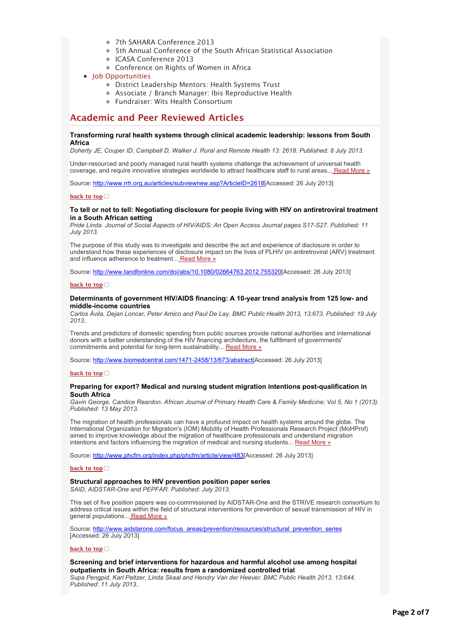- [7th SAHARA Conference 2013](applewebdata://D5BFAF7C-7F31-4E04-92F5-C668D024A664#C_6)
- [5th Annual Conference of the South African Statistical Association](applewebdata://D5BFAF7C-7F31-4E04-92F5-C668D024A664#C_7)
- [ICASA Conference 2013](applewebdata://D5BFAF7C-7F31-4E04-92F5-C668D024A664#C_8)
- [Conference on Rights of Women in Africa](applewebdata://D5BFAF7C-7F31-4E04-92F5-C668D024A664#C_2)
- [Job Opportunities](applewebdata://D5BFAF7C-7F31-4E04-92F5-C668D024A664#jobs)
	- [District Leadership Mentors: Health Systems Trust](applewebdata://D5BFAF7C-7F31-4E04-92F5-C668D024A664#J_1)
	- [Associate / Branch Manager: Ibis Reproductive Health](applewebdata://D5BFAF7C-7F31-4E04-92F5-C668D024A664#J_2)
	- [Fundraiser: Wits Health Consortium](applewebdata://D5BFAF7C-7F31-4E04-92F5-C668D024A664#J_3)

# **Academic and Peer Reviewed Articles**

# **Transforming rural health systems through clinical academic leadership: lessons from South Africa**

*Doherty JE, Couper ID, Campbell D, Walker J. Rural and Remote Health 13: 2618. Published: 8 July 2013.*

Under-resourced and poorly managed rural health systems challenge the achievement of universal health coverage, and require innovative strategies worldwide to attract healthcare staff to rural areas..[. Read More »](http://bulletin.hst.org.za//lt.php?id=K09TDFVSXAMGSlNRAEUHClxV)

Source: [http://www.rrh.org.au/articles/subviewnew.asp?ArticleID=2618\[](http://bulletin.hst.org.za//lt.php?id=K09TDFVSXAMGSlNRAEUHClxV)Accessed: 26 July 2013]

# **[back to top](applewebdata://D5BFAF7C-7F31-4E04-92F5-C668D024A664#top)**

# **To tell or not to tell: Negotiating disclosure for people living with HIV on antiretroviral treatment in a South African setting**

*Pride Linda. Journal of Social Aspects of HIV/AIDS: An Open Access Journal pages S17-S27. Published: 11 July 2013.*

The purpose of this study was to investigate and describe the act and experience of disclosure in order to understand how these experiences of disclosure impact on the lives of PLHIV on antiretroviral (ARV) treatment and influence adherence to treatment..[. Read More »](http://bulletin.hst.org.za//lt.php?id=K09TDFVSXAMFSlNRAEUHClxV)

Source: [http://www.tandfonline.com/doi/abs/10.1080/02664763.2012.755320\[](http://bulletin.hst.org.za//lt.php?id=K09TDFVSXAMFSlNRAEUHClxV)Accessed: 26 July 2013]

# **[back to top](applewebdata://D5BFAF7C-7F31-4E04-92F5-C668D024A664#top)**

# **Determinants of government HIV/AIDS financing: A 10-year trend analysis from 125 low- and middle-income countries**

*Carlos Ávila, Dejan Loncar, Peter Amico and Paul De Lay. BMC Public Health 2013, 13:673. Published: 19 July 2013..*

Trends and predictors of domestic spending from public sources provide national authorities and international donors with a better understanding of the HIV financing architecture, the fulfillment of governments' commitments and potential for long-term sustainability... [Read More »](http://bulletin.hst.org.za//lt.php?id=K09TDFVSXAMESlNRAEUHClxV)

Source: [http://www.biomedcentral.com/1471-2458/13/673/abstract\[](http://bulletin.hst.org.za//lt.php?id=K09TDFVSXAMESlNRAEUHClxV)Accessed: 26 July 2013]

### **[back to top](applewebdata://D5BFAF7C-7F31-4E04-92F5-C668D024A664#top)**

# **Preparing for export? Medical and nursing student migration intentions post-qualification in South Africa**

*Gavin George, Candice Reardon. African Journal of Primary Health Care & Family Medicine; Vol 5, No 1 (2013). Published: 13 May 2013.*

The migration of health professionals can have a profound impact on health systems around the globe. The International Organization for Migration's (IOM) Mobility of Health Professionals Research Project (MoHProf) aimed to improve knowledge about the migration of healthcare professionals and understand migration intentions and factors influencing the migration of medical and nursing students... [Read More »](http://bulletin.hst.org.za//lt.php?id=K09TDFVSXAMDSlNRAEUHClxV)

Source: [http://www.phcfm.org/index.php/phcfm/article/view/483\[](http://bulletin.hst.org.za//lt.php?id=K09TDFVSXAMDSlNRAEUHClxV)Accessed: 26 July 2013]

# **[back to top](applewebdata://D5BFAF7C-7F31-4E04-92F5-C668D024A664#top)**

# **Structural approaches to HIV prevention position paper series**

*SAID, AIDSTAR-One and PEPFAR. Published: July 2013.*

This set of five position papers was co-commissioned by AIDSTAR-One and the STRIVE research consortium to address critical issues within the field of structural interventions for prevention of sexual transmission of HIV in general populations... [Read More »](http://bulletin.hst.org.za//lt.php?id=K09TDFVSXAMCSlNRAEUHClxV)

Source: [http://www.aidstarone.com/focus\\_areas/prevention/resources/structural\\_prevention\\_series](http://bulletin.hst.org.za//lt.php?id=K09TDFVSXAMCSlNRAEUHClxV) [Accessed: 26 July 2013]

# **[back to top](applewebdata://D5BFAF7C-7F31-4E04-92F5-C668D024A664#top)**

# **Screening and brief interventions for hazardous and harmful alcohol use among hospital outpatients in South Africa: results from a randomized controlled trial**

*Supa Pengpid, Karl Peltzer, Linda Skaal and Hendry Van der Heever. BMC Public Health 2013, 13:644. Published: 11 July 2013..*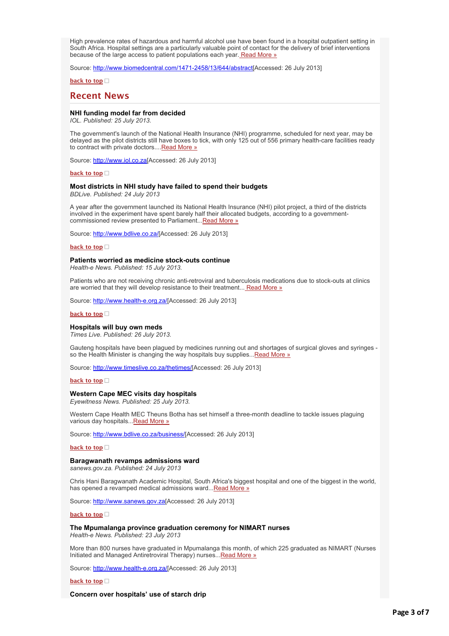High prevalence rates of hazardous and harmful alcohol use have been found in a hospital outpatient setting in South Africa. Hospital settings are a particularly valuable point of contact for the delivery of brief interventions because of the large access to patient populations each year[. Read More »](http://bulletin.hst.org.za//lt.php?id=K09TDFVSXAMBSlNRAEUHClxV)

Source: [http://www.biomedcentral.com/1471-2458/13/644/abstract\[](http://bulletin.hst.org.za//lt.php?id=K09TDFVSXAMBSlNRAEUHClxV)Accessed: 26 July 2013]

**[back to top](applewebdata://D5BFAF7C-7F31-4E04-92F5-C668D024A664#top)**

# **Recent News**

# **NHI funding model far from decided**

*IOL. Published: 25 July 2013.*

The government's launch of the National Health Insurance (NHI) programme, scheduled for next year, may be delayed as the pilot districts still have boxes to tick, with only 125 out of 556 primary health-care facilities ready to contract with private doctors.... [Read More »](http://bulletin.hst.org.za//lt.php?id=K09TDFVSXAMASlNRAEUHClxV)

Source: [http://www.iol.co.za\[](http://bulletin.hst.org.za//lt.php?id=K09TDFVSXAMPSlNRAEUHClxV)Accessed: 26 July 2013]

**[back to top](applewebdata://D5BFAF7C-7F31-4E04-92F5-C668D024A664#top)**

# **Most districts in NHI study have failed to spend their budgets**

*BDLive. Published: 24 July 2013*

A year after the government launched its National Health Insurance (NHI) pilot project, a third of the districts involved in the experiment have spent barely half their allocated budgets, according to a governmentcommissioned review presented to Parliament..[.Read More »](http://bulletin.hst.org.za//lt.php?id=K09TDFVSXAMOSlNRAEUHClxV)

Source: [http://www.bdlive.co.za/](http://bulletin.hst.org.za//lt.php?id=K09TDFVSXAAHSlNRAEUHClxV)[Accessed: 26 July 2013]

### **[back to top](applewebdata://D5BFAF7C-7F31-4E04-92F5-C668D024A664#top)**

# **Patients worried as medicine stock-outs continue**

*Health-e News. Published: 15 July 2013.*

Patients who are not receiving chronic anti-retroviral and tuberculosis medications due to stock-outs at clinics are worried that they will develop resistance to their treatment... [Read More »](http://bulletin.hst.org.za//lt.php?id=K09TDFVSXAAGSlNRAEUHClxV)

Source: [http://www.health-e.org.za/\[](http://bulletin.hst.org.za//lt.php?id=K09TDFVSXAAFSlNRAEUHClxV)Accessed: 26 July 2013]

#### **[back to top](applewebdata://D5BFAF7C-7F31-4E04-92F5-C668D024A664#top)**

# **Hospitals will buy own meds**

*Times Live. Published: 26 July 2013.*

Gauteng hospitals have been plagued by medicines running out and shortages of surgical gloves and syringes so the Health Minister is changing the way hospitals buy supplies... Read More »

Source: [http://www.timeslive.co.za/thetimes/\[](http://bulletin.hst.org.za//lt.php?id=K09TDFVSXAADSlNRAEUHClxV)Accessed: 26 July 2013]

#### **[back to top](applewebdata://D5BFAF7C-7F31-4E04-92F5-C668D024A664#top)**

# **Western Cape MEC visits day hospitals**

*Eyewitness News. Published: 25 July 2013.*

Western Cape Health MEC Theuns Botha has set himself a three-month deadline to tackle issues plaguing various day hospitals... Read More »

Source: [http://www.bdlive.co.za/business/\[](http://bulletin.hst.org.za//lt.php?id=K09TDFVSXAABSlNRAEUHClxV)Accessed: 26 July 2013]

# **[back to top](applewebdata://D5BFAF7C-7F31-4E04-92F5-C668D024A664#top)□**

### **Baragwanath revamps admissions ward**

*sanews.gov.za. Published: 24 July 2013*

Chris Hani Baragwanath Academic Hospital, South Africa's biggest hospital and one of the biggest in the world, has opened a revamped medical admissions ward..[.Read More »](http://bulletin.hst.org.za//lt.php?id=K09TDFVSXAAASlNRAEUHClxV)

Source: [http://www.sanews.gov.za\[](http://bulletin.hst.org.za//lt.php?id=K09TDFVSXAAPSlNRAEUHClxV)Accessed: 26 July 2013]

**[back to top](applewebdata://D5BFAF7C-7F31-4E04-92F5-C668D024A664#top)**

## **The Mpumalanga province graduation ceremony for NIMART nurses**

*Health-e News. Published: 23 July 2013*

More than 800 nurses have graduated in Mpumalanga this month, of which 225 graduated as NIMART (Nurses Initiated and Managed Antiretroviral Therapy) nurses... Read More »

Source: [http://www.health-e.org.za/\[](http://bulletin.hst.org.za//lt.php?id=K09TDFVSXAEHSlNRAEUHClxV)Accessed: 26 July 2013]

**[back to top](applewebdata://D5BFAF7C-7F31-4E04-92F5-C668D024A664#top)**

**Concern over hospitals' use of starch drip**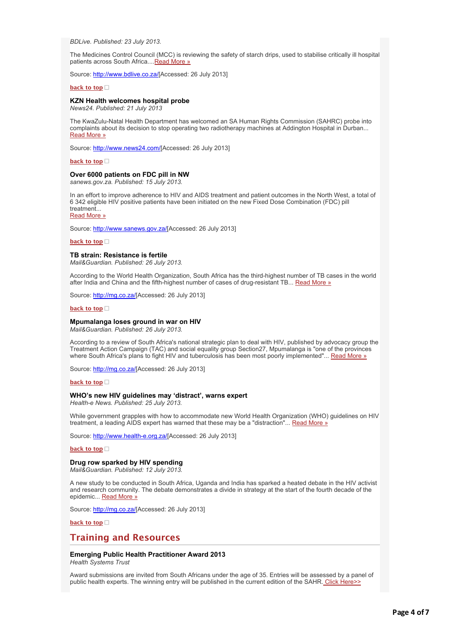*BDLive. Published: 23 July 2013.*

The Medicines Control Council (MCC) is reviewing the safety of starch drips, used to stabilise critically ill hospital patients across South Africa.... Read More »

Source: [http://www.bdlive.co.za/](http://bulletin.hst.org.za//lt.php?id=K09TDFVSXAEFSlNRAEUHClxV)[Accessed: 26 July 2013]

**Concern over hospitals' use of starch drip**

# **[back to top](applewebdata://D5BFAF7C-7F31-4E04-92F5-C668D024A664#top)**

### **KZN Health welcomes hospital probe**

*News24. Published: 21 July 2013*

The KwaZulu-Natal Health Department has welcomed an SA Human Rights Commission (SAHRC) probe into [complaints about its decision to stop operating two radiotherapy machines at Addington Hospital in Durban...](http://bulletin.hst.org.za//lt.php?id=K09TDFVSXAEESlNRAEUHClxV) Read More »

Source: [http://www.news24.com/\[](http://bulletin.hst.org.za//lt.php?id=K09TDFVSXAEDSlNRAEUHClxV)Accessed: 26 July 2013]

**[back to top](applewebdata://D5BFAF7C-7F31-4E04-92F5-C668D024A664#top)**

# **Over 6000 patients on FDC pill in NW**

*sanews.gov.za. Published: 15 July 2013.*

In an effort to improve adherence to HIV and AIDS treatment and patient outcomes in the North West, a total of 6 342 eligible HIV positive patients have been initiated on the new Fixed Dose Combination (FDC) pill treatment...

[Read More »](http://bulletin.hst.org.za//lt.php?id=K09TDFVSXAECSlNRAEUHClxV)

Source: [http://www.sanews.gov.za/\[](http://bulletin.hst.org.za//lt.php?id=K09TDFVSXAEBSlNRAEUHClxV)Accessed: 26 July 2013]

**[back to top](applewebdata://D5BFAF7C-7F31-4E04-92F5-C668D024A664#top)**

# **TB strain: Resistance is fertile**

*Mail&Guardian. Published: 26 July 2013.*

According to the World Health Organization, South Africa has the third-highest number of TB cases in the world after India and China and the fifth-highest number of cases of drug-resistant TB... [Read More »](http://bulletin.hst.org.za//lt.php?id=K09TDFVSXAEASlNRAEUHClxV)

Source: [http://mg.co.za/\[](http://bulletin.hst.org.za//lt.php?id=K09TDFVSXAEPSlNRAEUHClxV)Accessed: 26 July 2013]

# **[back to top](applewebdata://D5BFAF7C-7F31-4E04-92F5-C668D024A664#top)**

#### **Mpumalanga loses ground in war on HIV**

*Mail&Guardian. Published: 26 July 2013.*

According to a review of South Africa's national strategic plan to deal with HIV, published by advocacy group the Treatment Action Campaign (TAC) and social equality group Section27, Mpumalanga is "one of the provinces where South Africa's plans to fight HIV and tuberculosis has been most poorly implemented"... [Read More »](http://bulletin.hst.org.za//lt.php?id=K09TDFVSXAEOSlNRAEUHClxV)

Source: [http://mg.co.za/\[](http://bulletin.hst.org.za//lt.php?id=K09TDFVSXA4HSlNRAEUHClxV)Accessed: 26 July 2013]

# **[back to top](applewebdata://D5BFAF7C-7F31-4E04-92F5-C668D024A664#top)**

### **WHO's new HIV guidelines may 'distract', warns expert**

*Health-e News. Published: 25 July 2013.*

While government grapples with how to accommodate new World Health Organization (WHO) guidelines on HIV treatment, a leading AIDS expert has warned that these may be a "distraction"... [Read More »](http://bulletin.hst.org.za//lt.php?id=K09TDFVSXA4GSlNRAEUHClxV)

Source: [http://www.health-e.org.za/\[](http://bulletin.hst.org.za//lt.php?id=K09TDFVSXA4FSlNRAEUHClxV)Accessed: 26 July 2013]

# **[back to top](applewebdata://D5BFAF7C-7F31-4E04-92F5-C668D024A664#top)**

# **Drug row sparked by HIV spending**

*Mail&Guardian. Published: 12 July 2013.*

A new study to be conducted in South Africa, Uganda and India has sparked a heated debate in the HIV activist and research community. The debate demonstrates a divide in strategy at the start of the fourth decade of the epidemic... [Read More »](http://bulletin.hst.org.za//lt.php?id=K09TDFVSXA4ESlNRAEUHClxV)

Source: [http://mg.co.za/\[](http://bulletin.hst.org.za//lt.php?id=K09TDFVSXA4DSlNRAEUHClxV)Accessed: 26 July 2013]

**[back to top](applewebdata://D5BFAF7C-7F31-4E04-92F5-C668D024A664#top)**

# **Training and Resources**

# **Emerging Public Health Practitioner Award 2013**

*Health Systems Trust*

Award submissions are invited from South Africans under the age of 35. Entries will be assessed by a panel of public health experts. The winning entry will be published in the current edition of the SAHR[. Click Here>>](http://bulletin.hst.org.za//lt.php?id=K09TDFVSXA4CSlNRAEUHClxV)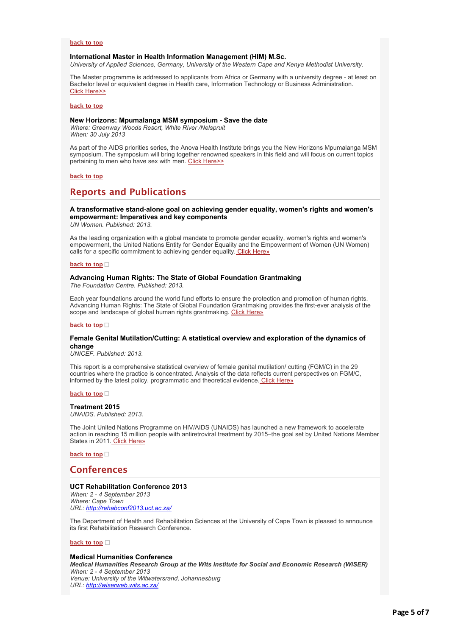# **[back to top](applewebdata://D5BFAF7C-7F31-4E04-92F5-C668D024A664#top)**

# **International Master in Health Information Management (HIM) M.Sc.**

*University of Applied Sciences, Germany, University of the Western Cape and Kenya Methodist University.*

The Master programme is addressed to applicants from Africa or Germany with a university degree - at least on Bachelor level or equivalent degree in Health care, Information Technology or Business Administration. [Click Here>>](http://bulletin.hst.org.za//lt.php?id=K09TDFVSXA4BSlNRAEUHClxV)

**[back to top](applewebdata://D5BFAF7C-7F31-4E04-92F5-C668D024A664#top)**

# **New Horizons: Mpumalanga MSM symposium - Save the date**

*Where: Greenway Woods Resort, White River /Nelspruit When: 30 July 2013*

As part of the AIDS priorities series, the Anova Health Institute brings you the New Horizons Mpumalanga MSM symposium. The symposium will bring together renowned speakers in this field and will focus on current topics pertaining to men who have sex with men. [Click Here>>](http://bulletin.hst.org.za//lt.php?id=K09TDFVSXA4ASlNRAEUHClxV)

# **[back to top](applewebdata://D5BFAF7C-7F31-4E04-92F5-C668D024A664#top)**

# **Reports and Publications**

# **A transformative stand-alone goal on achieving gender equality, women's rights and women's empowerment: Imperatives and key components**

*UN Women. Published: 2013.*

As the leading organization with a global mandate to promote gender equality, women's rights and women's empowerment, the United Nations Entity for Gender Equality and the Empowerment of Women (UN Women) calls for a specific commitment to achieving gender equality[. Click Here»](http://bulletin.hst.org.za//lt.php?id=K09TDFVSXA4PSlNRAEUHClxV)

#### **[back to top](applewebdata://D5BFAF7C-7F31-4E04-92F5-C668D024A664#top)**

# **Advancing Human Rights: The State of Global Foundation Grantmaking**

*The Foundation Centre. Published: 2013.*

Each year foundations around the world fund efforts to ensure the protection and promotion of human rights. Advancing Human Rights: The State of Global Foundation Grantmaking provides the first-ever analysis of the scope and landscape of global human rights grantmaking. [Click Here»](http://bulletin.hst.org.za//lt.php?id=K09TDFVSXA4OSlNRAEUHClxV)

# **[back to top](applewebdata://D5BFAF7C-7F31-4E04-92F5-C668D024A664#top)**

# **Female Genital Mutilation/Cutting: A statistical overview and exploration of the dynamics of change**

*UNICEF. Published: 2013.*

This report is a comprehensive statistical overview of female genital mutilation/ cutting (FGM/C) in the 29 countries where the practice is concentrated. Analysis of the data reflects current perspectives on FGM/C, informed by the latest policy, programmatic and theoretical evidence[. Click Here»](http://bulletin.hst.org.za//lt.php?id=K09TDFVSXA8HSlNRAEUHClxV)

#### **[back to top](applewebdata://D5BFAF7C-7F31-4E04-92F5-C668D024A664#top)**

#### **Treatment 2015**

*UNAIDS. Published: 2013.*

The Joint United Nations Programme on HIV/AIDS (UNAIDS) has launched a new framework to accelerate action in reaching 15 million people with antiretroviral treatment by 2015–the goal set by United Nations Member States in 2011. [Click Here»](http://bulletin.hst.org.za//lt.php?id=K09TDFVSXA8GSlNRAEUHClxV)

**[back to top](applewebdata://D5BFAF7C-7F31-4E04-92F5-C668D024A664#top)**

# **Conferences**

# **UCT Rehabilitation Conference 2013**

*When: 2 - 4 September 2013 Where: Cape Town URL: [http://rehabconf2013.uct.ac.za/](http://bulletin.hst.org.za//lt.php?id=K09TDFVSXA8FSlNRAEUHClxV)*

The Department of Health and Rehabilitation Sciences at the University of Cape Town is pleased to announce its first Rehabilitation Research Conference.

# **[back to top](applewebdata://D5BFAF7C-7F31-4E04-92F5-C668D024A664#top)**

## **Medical Humanities Conference**

*Medical Humanities Research Group at the Wits Institute for Social and Economic Research (WiSER) When: 2 - 4 September 2013 Venue: University of the Witwatersrand, Johannesburg URL: [http://wiserweb.wits.ac.za/](http://bulletin.hst.org.za//lt.php?id=K09TDFVSXA8ESlNRAEUHClxV)*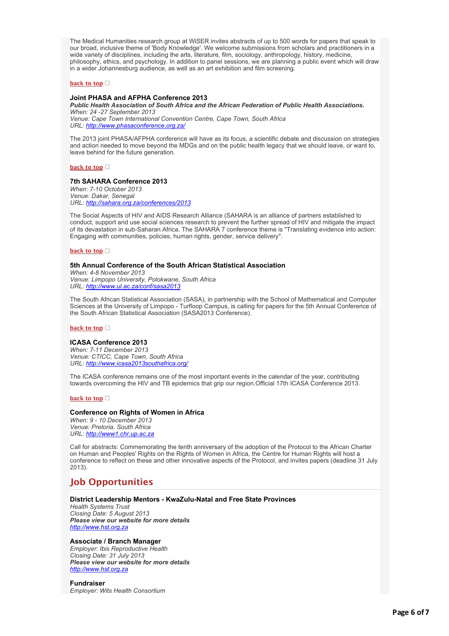The Medical Humanities research group at WiSER invites abstracts of up to 500 words for papers that speak to our broad, inclusive theme of 'Body Knowledge'. We welcome submissions from scholars and practitioners in a wide variety of disciplines, including the arts, literature, film, sociology, anthropology, history, medicine, philosophy, ethics, and psychology. In addition to panel sessions, we are planning a public event which will draw in a wider Johannesburg audience, as well as an art exhibition and film screening.

# **[back to top](applewebdata://D5BFAF7C-7F31-4E04-92F5-C668D024A664#top)**

# **Joint PHASA and AFPHA Conference 2013**

*Public Health Association of South Africa and the African Federation of Public Health Associations. When: 24 -27 September 2013 Venue: Cape Town International Convention Centre, Cape Town, South Africa URL: [http://www.phasaconference.org.za/](http://bulletin.hst.org.za//lt.php?id=K09TDFVSXA8DSlNRAEUHClxV)*

The 2013 joint PHASA/AFPHA conference will have as its focus, a scientific debate and discussion on strategies and action needed to move beyond the MDGs and on the public health legacy that we should leave, or want to, leave behind for the future generation.

**[back to top](applewebdata://D5BFAF7C-7F31-4E04-92F5-C668D024A664#top)**

# **7th SAHARA Conference 2013**

*When: 7-10 October 2013 Venue: Dakar, Senegal URL: [http://sahara.org.za/conferences/2013](http://bulletin.hst.org.za//lt.php?id=K09TDFVSXA8CSlNRAEUHClxV)*

The Social Aspects of HIV and AIDS Research Alliance (SAHARA is an alliance of partners established to conduct, support and use social sciences research to prevent the further spread of HIV and mitigate the impact of its devastation in sub-Saharan Africa. The SAHARA 7 conference theme is "Translating evidence into action: Engaging with communities, policies, human rights, gender, service delivery".

**[back to top](applewebdata://D5BFAF7C-7F31-4E04-92F5-C668D024A664#top)**

# **5th Annual Conference of the South African Statistical Association**

*When: 4-8 November 2013 Venue: Limpopo University, Polokwane, South Africa URL: [http://www.ul.ac.za/conf/sasa2013](http://bulletin.hst.org.za//lt.php?id=K09TDFVSXA8BSlNRAEUHClxV)*

The South African Statistical Association (SASA), in partnership with the School of Mathematical and Computer Sciences at the University of Limpopo - Turfloop Campus, is calling for papers for the 5th Annual Conference of the South African Statistical Association (SASA2013 Conference).

# **[back to top](applewebdata://D5BFAF7C-7F31-4E04-92F5-C668D024A664#top)**

# **ICASA Conference 2013**

*When: 7-11 December 2013 Venue: CTICC, Cape Town, South Africa URL: [http://www.icasa2013southafrica.org/](http://bulletin.hst.org.za//lt.php?id=K09TDFVSXA8ASlNRAEUHClxV)*

The ICASA conference remains one of the most important events in the calendar of the year, contributing towards overcoming the HIV and TB epidemics that grip our region.Official 17th ICASA Conference 2013.

**[back to top](applewebdata://D5BFAF7C-7F31-4E04-92F5-C668D024A664#top)**

# **Conference on Rights of Women in Africa**

*When: 9 - 10 December 2013 Venue: Pretoria, South Africa URL: [http://www1.chr.up.ac.za](http://bulletin.hst.org.za//lt.php?id=K09TDFVSXA8PSlNRAEUHClxV)*

Call for abstracts: Commemorating the tenth anniversary of the adoption of the Protocol to the African Charter on Human and Peoples' Rights on the Rights of Women in Africa, the Centre for Human Rights will host a conference to reflect on these and other innovative aspects of the Protocol, and invites papers (deadline 31 July 2013).

# **Job Opportunities**

# **District Leadership Mentors - KwaZulu-Natal and Free State Provinces**

*Health Systems Trust Closing Date: 5 August 2013 Please view our website for more details [http://www.hst.org.za](http://bulletin.hst.org.za//lt.php?id=K09TDFVSXA8OSlNRAEUHClxV)*

# **Associate / Branch Manager**

*Employer: Ibis Reproductive Health Closing Date: 31 July 2013 Please view our website for more details [http://www.hst.org.za](http://bulletin.hst.org.za//lt.php?id=K09TDFVTVQYHSlNRAEUHClxV)*

# **Fundraiser**

*Employer: Wits Health Consortium*